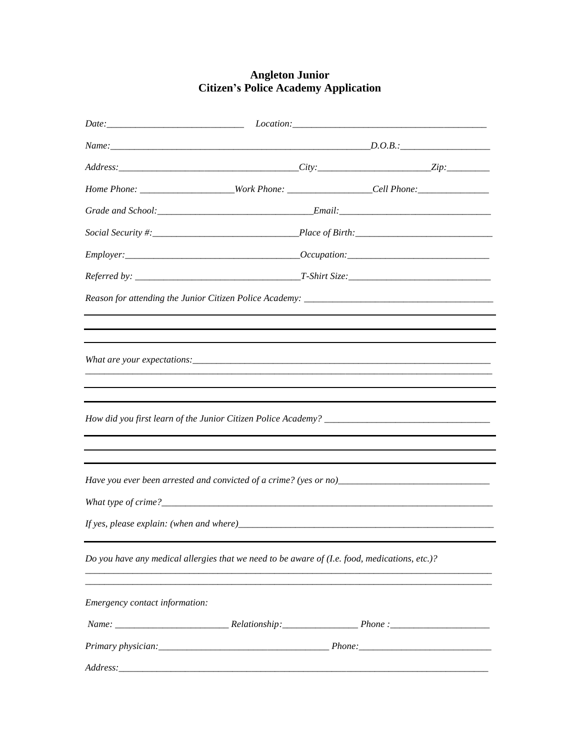## **Angleton Junior<br>Citizen's Police Academy Application**

|                                                                                               |            | $Location:\_$                                                                                        |  |
|-----------------------------------------------------------------------------------------------|------------|------------------------------------------------------------------------------------------------------|--|
|                                                                                               | $Name: \_$ |                                                                                                      |  |
|                                                                                               |            |                                                                                                      |  |
|                                                                                               |            | Home Phone: _______________________Work Phone: __________________Cell Phone: _______________________ |  |
|                                                                                               |            |                                                                                                      |  |
|                                                                                               |            |                                                                                                      |  |
|                                                                                               |            | $\n  Employee: __________$                                                                           |  |
|                                                                                               |            |                                                                                                      |  |
|                                                                                               |            |                                                                                                      |  |
|                                                                                               |            |                                                                                                      |  |
|                                                                                               |            |                                                                                                      |  |
|                                                                                               |            |                                                                                                      |  |
|                                                                                               |            |                                                                                                      |  |
|                                                                                               |            |                                                                                                      |  |
|                                                                                               |            |                                                                                                      |  |
|                                                                                               |            |                                                                                                      |  |
|                                                                                               |            |                                                                                                      |  |
|                                                                                               |            | Have you ever been arrested and convicted of a crime? (yes or no)___________________________________ |  |
|                                                                                               |            |                                                                                                      |  |
|                                                                                               |            |                                                                                                      |  |
| Do you have any medical allergies that we need to be aware of (I.e. food, medications, etc.)? |            |                                                                                                      |  |
|                                                                                               |            |                                                                                                      |  |
| Emergency contact information:                                                                |            |                                                                                                      |  |
|                                                                                               |            |                                                                                                      |  |
|                                                                                               |            |                                                                                                      |  |
|                                                                                               |            |                                                                                                      |  |